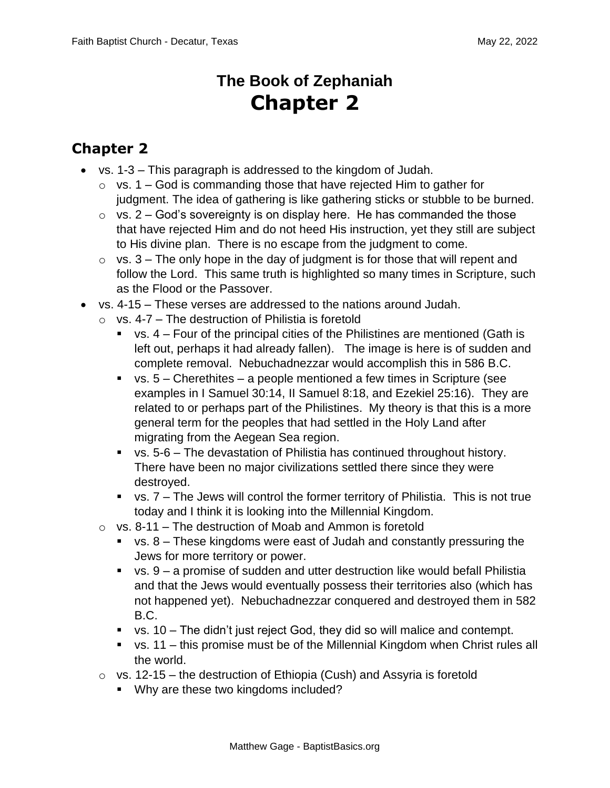## **The Book of Zephaniah Chapter 2**

## **Chapter 2**

- vs. 1-3 This paragraph is addressed to the kingdom of Judah.
	- $\circ$  vs. 1 God is commanding those that have rejected Him to gather for judgment. The idea of gathering is like gathering sticks or stubble to be burned.
	- $\circ$  vs. 2 God's sovereignty is on display here. He has commanded the those that have rejected Him and do not heed His instruction, yet they still are subject to His divine plan. There is no escape from the judgment to come.
	- $\circ$  vs. 3 The only hope in the day of judgment is for those that will repent and follow the Lord. This same truth is highlighted so many times in Scripture, such as the Flood or the Passover.
- vs. 4-15 These verses are addressed to the nations around Judah.
	- $\circ$  vs. 4-7 The destruction of Philistia is foretold
		- $\bullet$  vs. 4 Four of the principal cities of the Philistines are mentioned (Gath is left out, perhaps it had already fallen). The image is here is of sudden and complete removal. Nebuchadnezzar would accomplish this in 586 B.C.
		- $\bullet$  vs. 5 Cherethites a people mentioned a few times in Scripture (see examples in I Samuel 30:14, II Samuel 8:18, and Ezekiel 25:16). They are related to or perhaps part of the Philistines. My theory is that this is a more general term for the peoples that had settled in the Holy Land after migrating from the Aegean Sea region.
		- vs. 5-6 The devastation of Philistia has continued throughout history. There have been no major civilizations settled there since they were destroyed.
		- vs. 7 The Jews will control the former territory of Philistia. This is not true today and I think it is looking into the Millennial Kingdom.
	- $\circ$  vs. 8-11 The destruction of Moab and Ammon is foretold
		- vs. 8 These kingdoms were east of Judah and constantly pressuring the Jews for more territory or power.
		- vs. 9 a promise of sudden and utter destruction like would befall Philistia and that the Jews would eventually possess their territories also (which has not happened yet). Nebuchadnezzar conquered and destroyed them in 582 B.C.
		- $\bullet$  vs. 10 The didn't just reject God, they did so will malice and contempt.
		- $\bullet$  vs. 11 this promise must be of the Millennial Kingdom when Christ rules all the world.
	- $\circ$  vs. 12-15 the destruction of Ethiopia (Cush) and Assyria is foretold
		- Why are these two kingdoms included?